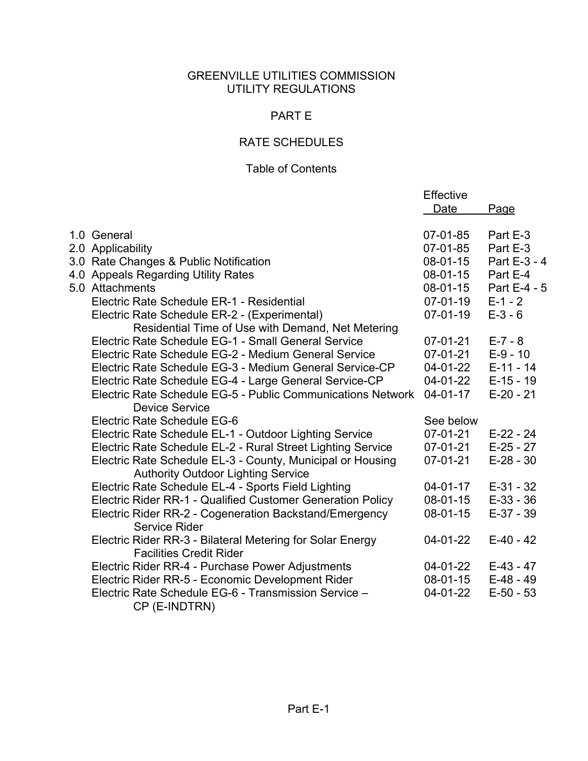### GREENVILLE UTILITIES COMMISSION UTILITY REGULATIONS

### PART E

# RATE SCHEDULES

### Table of Contents

|                                                             | Effective      |              |
|-------------------------------------------------------------|----------------|--------------|
|                                                             | Date           | <u>Page</u>  |
|                                                             |                |              |
| 1.0 General                                                 | 07-01-85       | Part E-3     |
| 2.0 Applicability                                           | 07-01-85       | Part E-3     |
| 3.0 Rate Changes & Public Notification                      | 08-01-15       | Part E-3 - 4 |
| 4.0 Appeals Regarding Utility Rates                         | 08-01-15       | Part E-4     |
| 5.0 Attachments                                             | 08-01-15       | Part E-4 - 5 |
| Electric Rate Schedule ER-1 - Residential                   | 07-01-19       | $E - 1 - 2$  |
| Electric Rate Schedule ER-2 - (Experimental)                | $07 - 01 - 19$ | $E-3-6$      |
| Residential Time of Use with Demand, Net Metering           |                |              |
| Electric Rate Schedule EG-1 - Small General Service         | 07-01-21       | $E - 7 - 8$  |
| Electric Rate Schedule EG-2 - Medium General Service        | 07-01-21       | $E-9 - 10$   |
| Electric Rate Schedule EG-3 - Medium General Service-CP     | 04-01-22       | $E-11 - 14$  |
| Electric Rate Schedule EG-4 - Large General Service-CP      | 04-01-22       | $E-15 - 19$  |
| Electric Rate Schedule EG-5 - Public Communications Network | $04 - 01 - 17$ | $E-20 - 21$  |
| <b>Device Service</b>                                       |                |              |
| Electric Rate Schedule EG-6                                 | See below      |              |
| Electric Rate Schedule EL-1 - Outdoor Lighting Service      | 07-01-21       | $E-22 - 24$  |
| Electric Rate Schedule EL-2 - Rural Street Lighting Service | 07-01-21       | $E-25 - 27$  |
| Electric Rate Schedule EL-3 - County, Municipal or Housing  | 07-01-21       | $E-28 - 30$  |
| <b>Authority Outdoor Lighting Service</b>                   |                |              |
| Electric Rate Schedule EL-4 - Sports Field Lighting         | $04 - 01 - 17$ | $E-31 - 32$  |
| Electric Rider RR-1 - Qualified Customer Generation Policy  | $08 - 01 - 15$ | $E-33 - 36$  |
| Electric Rider RR-2 - Cogeneration Backstand/Emergency      | 08-01-15       | $E-37 - 39$  |
| <b>Service Rider</b>                                        |                |              |
| Electric Rider RR-3 - Bilateral Metering for Solar Energy   | 04-01-22       | $E-40 - 42$  |
| <b>Facilities Credit Rider</b>                              |                |              |
| Electric Rider RR-4 - Purchase Power Adjustments            | 04-01-22       | $E-43 - 47$  |
| Electric Rider RR-5 - Economic Development Rider            | 08-01-15       | $E-48 - 49$  |
| Electric Rate Schedule EG-6 - Transmission Service -        | 04-01-22       | $E-50 - 53$  |
| CP (E-INDTRN)                                               |                |              |
|                                                             |                |              |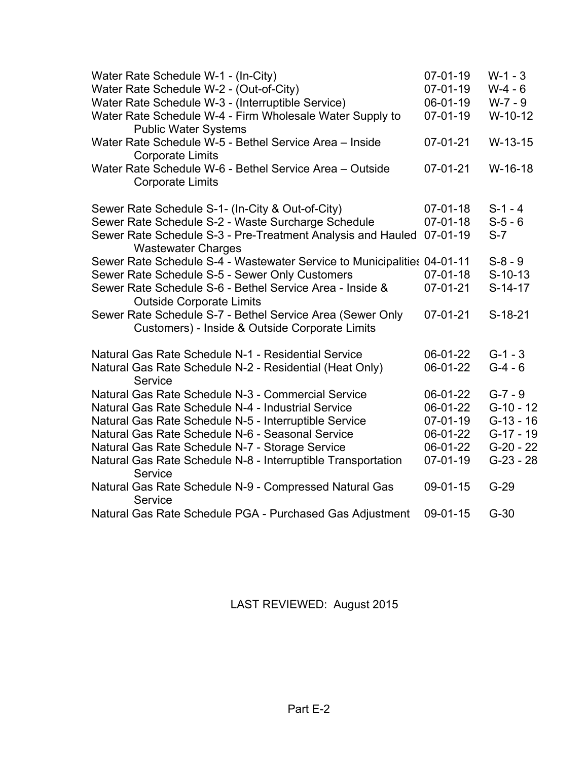| Water Rate Schedule W-1 - (In-City)<br>Water Rate Schedule W-2 - (Out-of-City)                              | $07 - 01 - 19$<br>07-01-19 | $W-1 - 3$<br>$W-4 - 6$ |
|-------------------------------------------------------------------------------------------------------------|----------------------------|------------------------|
| Water Rate Schedule W-3 - (Interruptible Service)                                                           | 06-01-19                   | $W-7 - 9$              |
| Water Rate Schedule W-4 - Firm Wholesale Water Supply to<br><b>Public Water Systems</b>                     | $07 - 01 - 19$             | $W-10-12$              |
| Water Rate Schedule W-5 - Bethel Service Area - Inside<br><b>Corporate Limits</b>                           | $07-01-21$                 | $W-13-15$              |
| Water Rate Schedule W-6 - Bethel Service Area - Outside<br><b>Corporate Limits</b>                          | 07-01-21                   | $W-16-18$              |
| Sewer Rate Schedule S-1- (In-City & Out-of-City)                                                            | $07 - 01 - 18$             | $S-1 - 4$              |
| Sewer Rate Schedule S-2 - Waste Surcharge Schedule                                                          | $07 - 01 - 18$             | $S-5-6$                |
| Sewer Rate Schedule S-3 - Pre-Treatment Analysis and Hauled<br><b>Wastewater Charges</b>                    | $07 - 01 - 19$             | $S-7$                  |
| Sewer Rate Schedule S-4 - Wastewater Service to Municipalities 04-01-11                                     |                            | $S-8-9$                |
| Sewer Rate Schedule S-5 - Sewer Only Customers                                                              | $07 - 01 - 18$             | $S-10-13$              |
| Sewer Rate Schedule S-6 - Bethel Service Area - Inside &<br><b>Outside Corporate Limits</b>                 | $07 - 01 - 21$             | $S-14-17$              |
| Sewer Rate Schedule S-7 - Bethel Service Area (Sewer Only<br>Customers) - Inside & Outside Corporate Limits | 07-01-21                   | $S-18-21$              |
| Natural Gas Rate Schedule N-1 - Residential Service                                                         | 06-01-22                   | $G-1 - 3$              |
| Natural Gas Rate Schedule N-2 - Residential (Heat Only)<br>Service                                          | 06-01-22                   | $G-4 - 6$              |
| Natural Gas Rate Schedule N-3 - Commercial Service                                                          | 06-01-22                   | $G - 7 - 9$            |
| Natural Gas Rate Schedule N-4 - Industrial Service                                                          | 06-01-22                   | $G-10 - 12$            |
| Natural Gas Rate Schedule N-5 - Interruptible Service                                                       | $07 - 01 - 19$             | $G-13 - 16$            |
| Natural Gas Rate Schedule N-6 - Seasonal Service                                                            | 06-01-22                   | G-17 - 19              |
| Natural Gas Rate Schedule N-7 - Storage Service                                                             | 06-01-22                   | $G-20 - 22$            |
| Natural Gas Rate Schedule N-8 - Interruptible Transportation<br>Service                                     | $07 - 01 - 19$             | $G-23 - 28$            |
| Natural Gas Rate Schedule N-9 - Compressed Natural Gas<br>Service                                           | 09-01-15                   | $G-29$                 |
| Natural Gas Rate Schedule PGA - Purchased Gas Adjustment                                                    | 09-01-15                   | $G-30$                 |
|                                                                                                             |                            |                        |

LAST REVIEWED: August 2015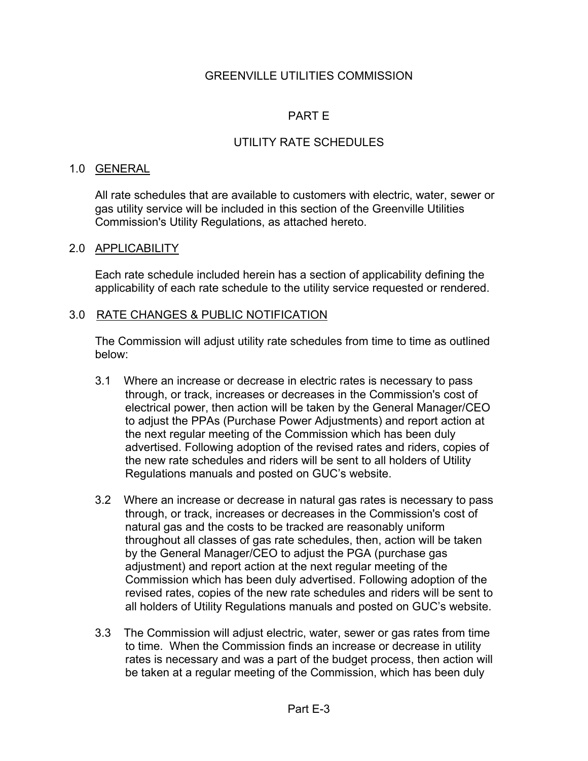### GREENVILLE UTILITIES COMMISSION

## PART E

# UTILITY RATE SCHEDULES

#### 1.0 GENERAL

All rate schedules that are available to customers with electric, water, sewer or gas utility service will be included in this section of the Greenville Utilities Commission's Utility Regulations, as attached hereto.

### 2.0 APPLICABILITY

Each rate schedule included herein has a section of applicability defining the applicability of each rate schedule to the utility service requested or rendered.

#### 3.0 RATE CHANGES & PUBLIC NOTIFICATION

The Commission will adjust utility rate schedules from time to time as outlined below:

- 3.1 Where an increase or decrease in electric rates is necessary to pass through, or track, increases or decreases in the Commission's cost of electrical power, then action will be taken by the General Manager/CEO to adjust the PPAs (Purchase Power Adjustments) and report action at the next regular meeting of the Commission which has been duly advertised. Following adoption of the revised rates and riders, copies of the new rate schedules and riders will be sent to all holders of Utility Regulations manuals and posted on GUC's website.
- 3.2 Where an increase or decrease in natural gas rates is necessary to pass through, or track, increases or decreases in the Commission's cost of natural gas and the costs to be tracked are reasonably uniform throughout all classes of gas rate schedules, then, action will be taken by the General Manager/CEO to adjust the PGA (purchase gas adjustment) and report action at the next regular meeting of the Commission which has been duly advertised. Following adoption of the revised rates, copies of the new rate schedules and riders will be sent to all holders of Utility Regulations manuals and posted on GUC's website.
- 3.3 The Commission will adjust electric, water, sewer or gas rates from time to time. When the Commission finds an increase or decrease in utility rates is necessary and was a part of the budget process, then action will be taken at a regular meeting of the Commission, which has been duly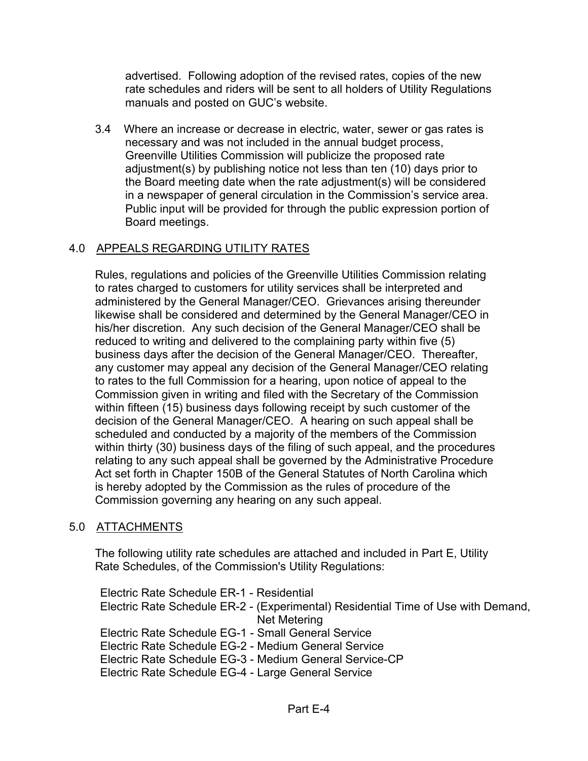advertised. Following adoption of the revised rates, copies of the new rate schedules and riders will be sent to all holders of Utility Regulations manuals and posted on GUC's website.

3.4 Where an increase or decrease in electric, water, sewer or gas rates is necessary and was not included in the annual budget process, Greenville Utilities Commission will publicize the proposed rate adjustment(s) by publishing notice not less than ten (10) days prior to the Board meeting date when the rate adjustment(s) will be considered in a newspaper of general circulation in the Commission's service area. Public input will be provided for through the public expression portion of Board meetings.

# 4.0 APPEALS REGARDING UTILITY RATES

Rules, regulations and policies of the Greenville Utilities Commission relating to rates charged to customers for utility services shall be interpreted and administered by the General Manager/CEO. Grievances arising thereunder likewise shall be considered and determined by the General Manager/CEO in his/her discretion. Any such decision of the General Manager/CEO shall be reduced to writing and delivered to the complaining party within five (5) business days after the decision of the General Manager/CEO. Thereafter, any customer may appeal any decision of the General Manager/CEO relating to rates to the full Commission for a hearing, upon notice of appeal to the Commission given in writing and filed with the Secretary of the Commission within fifteen (15) business days following receipt by such customer of the decision of the General Manager/CEO. A hearing on such appeal shall be scheduled and conducted by a majority of the members of the Commission within thirty (30) business days of the filing of such appeal, and the procedures relating to any such appeal shall be governed by the Administrative Procedure Act set forth in Chapter 150B of the General Statutes of North Carolina which is hereby adopted by the Commission as the rules of procedure of the Commission governing any hearing on any such appeal.

### 5.0 ATTACHMENTS

The following utility rate schedules are attached and included in Part E, Utility Rate Schedules, of the Commission's Utility Regulations:

Electric Rate Schedule ER-1 - Residential Electric Rate Schedule ER-2 - (Experimental) Residential Time of Use with Demand, Net Metering Electric Rate Schedule EG-1 - Small General Service Electric Rate Schedule EG-2 - Medium General Service Electric Rate Schedule EG-3 - Medium General Service-CP Electric Rate Schedule EG-4 - Large General Service